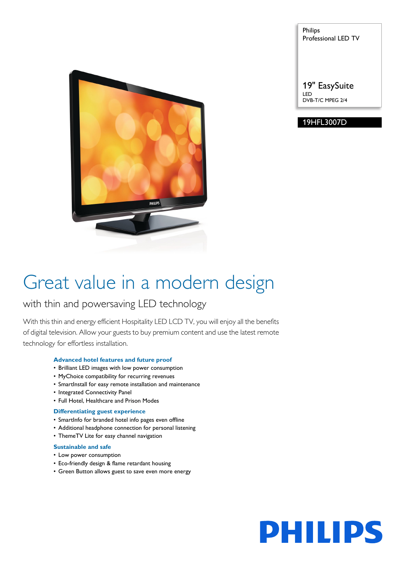

Philips Professional LED TV

19" EasySuite LED DVB-T/C MPEG 2/4

#### 19HFL3007D

## Great value in a modern design

### with thin and powersaving LED technology

With this thin and energy efficient Hospitality LED LCD TV, you will enjoy all the benefits of digital television. Allow your guests to buy premium content and use the latest remote technology for effortless installation.

#### **Advanced hotel features and future proof**

- Brilliant LED images with low power consumption
- MyChoice compatibility for recurring revenues
- SmartInstall for easy remote installation and maintenance
- Integrated Connectivity Panel
- Full Hotel, Healthcare and Prison Modes

#### **Differentiating guest experience**

- SmartInfo for branded hotel info pages even offline
- Additional headphone connection for personal listening
- ThemeTV Lite for easy channel navigation

#### **Sustainable and safe**

- Low power consumption
- Eco-friendly design & flame retardant housing
- Green Button allows guest to save even more energy

# **PHILIPS**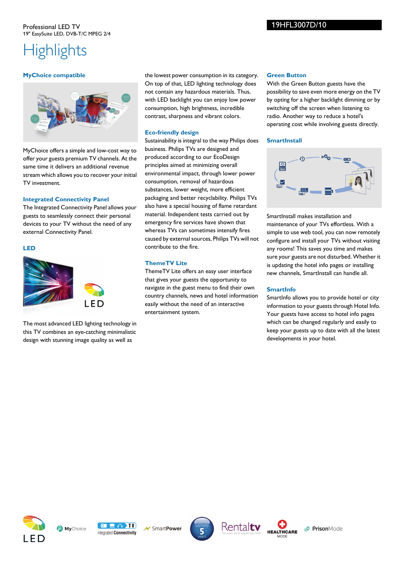### **Highlights**

#### **MyChoice compatible**



MyChoice offers a simple and low-cost way to offer your guests premium TV channels. At the same time it delivers an additional revenue stream which allows you to recover your initial TV investment.

#### **Integrated Connectivity Panel**

The Integrated Connectivity Panel allows your guests to seamlessly connect their personal devices to your TV without the need of any external Connectivity Panel.

#### **LED**



The most advanced LED lighting technology in this TV combines an eye-catching minimalistic design with stunning image quality as well as

the lowest power consumption in its category. On top of that, LED lighting technology does not contain any hazardous materials. Thus, with LED backlight you can enjoy low power consumption, high brightness, incredible contrast, sharpness and vibrant colors.

#### **Eco-friendly design**

Sustainability is integral to the way Philips does business. Philips TVs are designed and produced according to our EcoDesign principles aimed at minimizing overall environmental impact, through lower power consumption, removal of hazardous substances, lower weight, more efficient packaging and better recyclability. Philips TVs also have a special housing of flame retardant material. Independent tests carried out by emergency fire services have shown that whereas TVs can sometimes intensify fires caused by external sources, Philips TVs will not contribute to the fire.

#### **ThemeTV Lite**

ThemeTV Lite offers an easy user interface that gives your guests the opportunity to navigate in the guest menu to find their own country channels, news and hotel information easily without the need of an interactive entertainment system.

#### **Green Button**

With the Green Button guests have the possibility to save even more energy on the TV by opting for a higher backlight dimming or by switching off the screen when listening to radio. Another way to reduce a hotel's operating cost while involving guests directly.

#### **SmartInstall**



SmartInstall makes installation and maintenance of your TVs effortless. With a simple to use web tool, you can now remotely configure and install your TVs without visiting any rooms! This saves you time and makes sure your guests are not disturbed. Whether it is updating the hotel info pages or installing new channels, SmartInstall can handle all.

#### **SmartInfo**

SmartInfo allows you to provide hotel or city information to your guests through Hotel Info. Your guests have access to hotel info pages which can be changed regularly and easily to keep your guests up to date with all the latest developments in your hotel.





SmartPower







PrisonMode